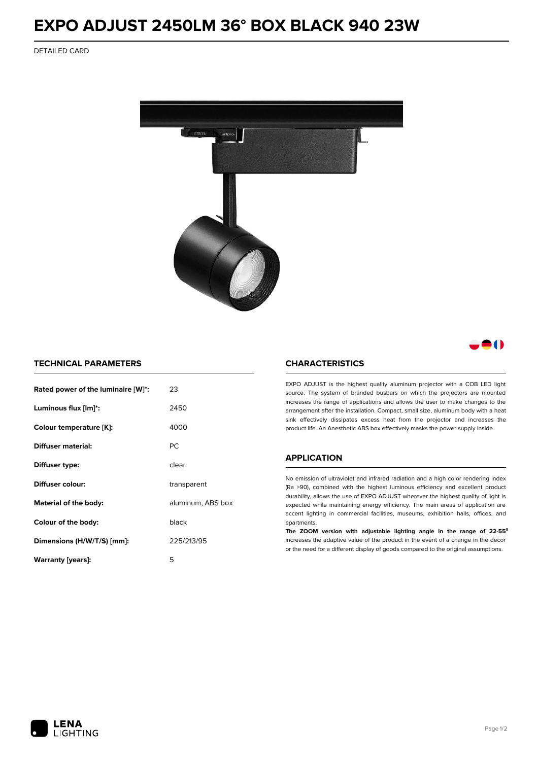# **EXPO ADJUST 2450LM 36° BOX BLACK 940 23W**

DETAILED CARD



# 80

## **TECHNICAL PARAMETERS**

| Rated power of the luminaire [W]*: | 23                |  |
|------------------------------------|-------------------|--|
| Luminous flux [lm]*:               | 2450              |  |
| Colour temperature [K]:            | 4000              |  |
| Diffuser material:                 | РC                |  |
| Diffuser type:                     | clear             |  |
| Diffuser colour:                   | transparent       |  |
| Material of the body:              | aluminum, ABS box |  |
| Colour of the body:                | black             |  |
| Dimensions (H/W/T/S) [mm]:         | 225/213/95        |  |
| Warranty [years]:                  | 5                 |  |

#### **CHARACTERISTICS**

EXPO ADJUST is the highest quality aluminum projector with a COB LED light source. The system of branded busbars on which the projectors are mounted increases the range of applications and allows the user to make changes to the arrangement after the installation. Compact, small size, aluminum body with a heat sink effectively dissipates excess heat from the projector and increases the product life. An Anesthetic ABS box effectively masks the power supply inside.

### **APPLICATION**

No emission of ultraviolet and infrared radiation and a high color rendering index (Ra >90), combined with the highest luminous efficiency and excellent product durability, allows the use of EXPO ADJUST wherever the highest quality of light is expected while maintaining energy efficiency. The main areas of application are accent lighting in commercial facilities, museums, exhibition halls, offices, and apartments.

**The ZOOM version with adjustable lighting angle in the range of 22-55⁰** increases the adaptive value of the product in the event of a change in the decor or the need for a different display of goods compared to the original assumptions.